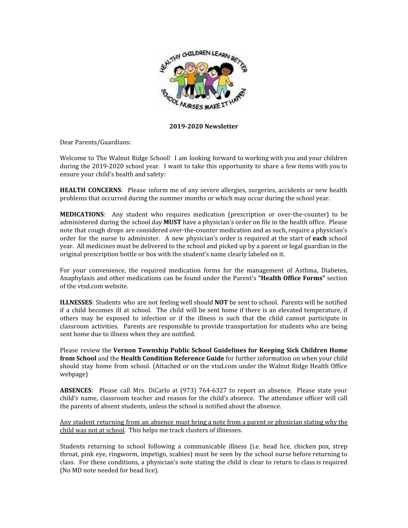

## **2019-2020 Newsletter**

Dear Parents/Guardians:

Welcome to The Walnut Ridge School! I am looking forward to working with you and your children during the 2019-2020 school year. I want to take this opportunity to share a few items with you to ensure your child's health and safety:

**HEALTH CONCERNS**: Please inform me of any severe allergies, surgeries, accidents or new health problems that occurred during the summer months or which may occur during the school year.

**MEDICATIONS**: Any student who requires medication (prescription or over-the-counter) to be administered during the school day **MUST** have a physician's order on file in the health office. Please note that cough drops are considered over-the-counter medication and as such, require a physician's order for the nurse to administer. A new physician's order is required at the start of **each** school year. All medicines must be delivered to the school and picked up by a parent or legal guardian in the original prescription bottle or box with the student's name clearly labeled on it.

For your convenience, the required medication forms for the management of Asthma, Diabetes, Anaphylaxis and other medications can be found under the Parent's **"Health Office Forms"** section of the vtsd.com website.

**ILLNESSES**: Students who are not feeling well should **NOT** be sent to school. Parents will be notified if a child becomes ill at school. The child will be sent home if there is an elevated temperature, if others may be exposed to infection or if the illness is such that the child cannot participate in classroom activities. Parents are responsible to provide transportation for students who are being sent home due to illness when they are notified.

Please review the **Vernon Township Public School Guidelines for Keeping Sick Children Home from School** and the **Health Condition Reference Guide** for further information on when your child should stay home from school. (Attached or on the vtsd.com under the Walnut Ridge Health Office webpage)

**ABSENCES**: Please call Mrs. DiCarlo at (973) 764-6327 to report an absence. Please state your child's name, classroom teacher and reason for the child's absence. The attendance officer will call the parents of absent students, unless the school is notified about the absence.

Any student returning from an absence must bring a note from a parent or physician stating why the child was not at school. This helps me track clusters of illnesses.

Students returning to school following a communicable illness (i.e. head lice, chicken pox, strep throat, pink eye, ringworm, impetigo, scabies) must be seen by the school nurse before returning to class. For these conditions, a physician's note stating the child is clear to return to class is required (No MD note needed for head lice).